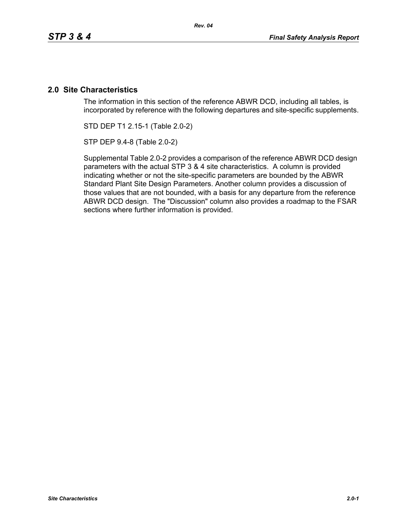## **2.0 Site Characteristics**

The information in this section of the reference ABWR DCD, including all tables, is incorporated by reference with the following departures and site-specific supplements.

STD DEP T1 2.15-1 (Table 2.0-2)

STP DEP 9.4-8 (Table 2.0-2)

Supplemental Table 2.0-2 provides a comparison of the reference ABWR DCD design parameters with the actual STP 3 & 4 site characteristics. A column is provided indicating whether or not the site-specific parameters are bounded by the ABWR Standard Plant Site Design Parameters. Another column provides a discussion of those values that are not bounded, with a basis for any departure from the reference ABWR DCD design. The "Discussion" column also provides a roadmap to the FSAR sections where further information is provided.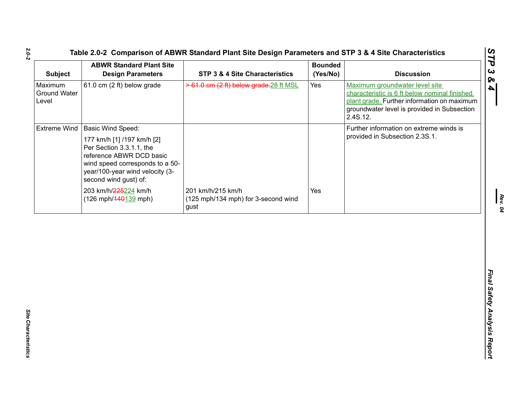| <b>Subject</b>                   | <b>ABWR Standard Plant Site</b><br><b>Design Parameters</b>                                                                                                                                                           | STP 3 & 4 Site Characteristics                                   | <b>Bounded</b><br>(Yes/No) | <b>Discussion</b>                                                                                                                                                                         |
|----------------------------------|-----------------------------------------------------------------------------------------------------------------------------------------------------------------------------------------------------------------------|------------------------------------------------------------------|----------------------------|-------------------------------------------------------------------------------------------------------------------------------------------------------------------------------------------|
| Maximum<br>Ground Water<br>Level | 61.0 cm (2 ft) below grade                                                                                                                                                                                            | > 61.0 cm (2 ft) below grade. 28 ft MSL                          | Yes                        | Maximum groundwater level site<br>characteristic is 6 ft below nominal finished<br>plant grade. Further information on maximum<br>groundwater level is provided in Subsection<br>2.4S.12. |
|                                  | Extreme Wind   Basic Wind Speed:<br>177 km/h [1] /197 km/h [2]<br>Per Section 3.3.1.1, the<br>reference ABWR DCD basic<br>wind speed corresponds to a 50-<br>year/100-year wind velocity (3-<br>second wind gust) of: |                                                                  |                            | Further information on extreme winds is<br>provided in Subsection 2.3S.1.                                                                                                                 |
|                                  | 203 km/h/225224 km/h<br>(126 mph/440139 mph)                                                                                                                                                                          | 201 km/h/215 km/h<br>(125 mph/134 mph) for 3-second wind<br>gust | Yes                        |                                                                                                                                                                                           |
|                                  |                                                                                                                                                                                                                       |                                                                  |                            |                                                                                                                                                                                           |
|                                  |                                                                                                                                                                                                                       |                                                                  |                            |                                                                                                                                                                                           |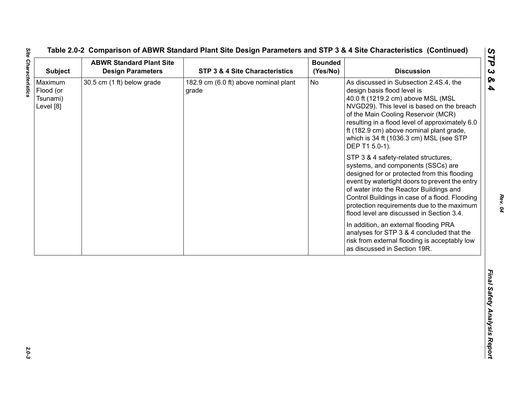| <b>Subject</b>                                | <b>ABWR Standard Plant Site</b><br><b>Design Parameters</b> | STP 3 & 4 Site Characteristics                 | <b>Bounded</b><br>(Yes/No) | <b>Discussion</b>                                                                                                                                                                                                                                                                                                                                                                                                                                                                                                                                                                                                                                                                                                                                                                                                                                                                                           |
|-----------------------------------------------|-------------------------------------------------------------|------------------------------------------------|----------------------------|-------------------------------------------------------------------------------------------------------------------------------------------------------------------------------------------------------------------------------------------------------------------------------------------------------------------------------------------------------------------------------------------------------------------------------------------------------------------------------------------------------------------------------------------------------------------------------------------------------------------------------------------------------------------------------------------------------------------------------------------------------------------------------------------------------------------------------------------------------------------------------------------------------------|
| Maximum<br>Flood (or<br>Tsunami)<br>Level [8] | 30.5 cm (1 ft) below grade                                  | 182.9 cm (6.0 ft) above nominal plant<br>grade | <b>No</b>                  | As discussed in Subsection 2.4S.4, the<br>design basis flood level is<br>40.0 ft (1219.2 cm) above MSL (MSL<br>NVGD29). This level is based on the breach<br>of the Main Cooling Reservoir (MCR)<br>resulting in a flood level of approximately 6.0<br>ft (182.9 cm) above nominal plant grade,<br>which is 34 ft (1036.3 cm) MSL (see STP<br>DEP T1 5.0-1).<br>STP 3 & 4 safety-related structures,<br>systems, and components (SSCs) are<br>designed for or protected from this flooding<br>event by watertight doors to prevent the entry<br>of water into the Reactor Buildings and<br>Control Buildings in case of a flood. Flooding<br>protection requirements due to the maximum<br>flood level are discussed in Section 3.4.<br>In addition, an external flooding PRA<br>analyses for STP 3 & 4 concluded that the<br>risk from external flooding is acceptably low<br>as discussed in Section 19R. |
|                                               |                                                             |                                                |                            |                                                                                                                                                                                                                                                                                                                                                                                                                                                                                                                                                                                                                                                                                                                                                                                                                                                                                                             |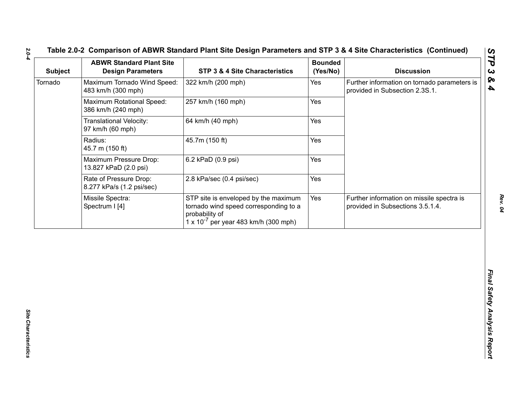| Further information on tornado parameters is<br>Yes<br>provided in Subsection 2.3S.1.<br>Yes<br>Yes | 322 km/h (200 mph)                                                                                                                                | <b>Design Parameters</b>                               | <b>Subject</b> |
|-----------------------------------------------------------------------------------------------------|---------------------------------------------------------------------------------------------------------------------------------------------------|--------------------------------------------------------|----------------|
|                                                                                                     |                                                                                                                                                   | Maximum Tornado Wind Speed:<br>483 km/h (300 mph)      | Tornado        |
|                                                                                                     | 257 km/h (160 mph)                                                                                                                                | <b>Maximum Rotational Speed:</b><br>386 km/h (240 mph) |                |
|                                                                                                     | 64 km/h (40 mph)                                                                                                                                  | Translational Velocity:<br>97 km/h (60 mph)            |                |
| Yes                                                                                                 | 45.7m (150 ft)                                                                                                                                    | Radius:<br>45.7 m (150 ft)                             |                |
| Yes                                                                                                 | 6.2 kPaD (0.9 psi)                                                                                                                                | Maximum Pressure Drop:<br>13.827 kPaD (2.0 psi)        |                |
| Yes                                                                                                 | 2.8 kPa/sec (0.4 psi/sec)                                                                                                                         | Rate of Pressure Drop:<br>8.277 kPa/s (1.2 psi/sec)    |                |
| Yes<br>Further information on missile spectra is<br>provided in Subsections 3.5.1.4.                | STP site is enveloped by the maximum<br>tornado wind speed corresponding to a<br>probability of<br>$1 \times 10^{-7}$ per year 483 km/h (300 mph) | Missile Spectra:<br>Spectrum I [4]                     |                |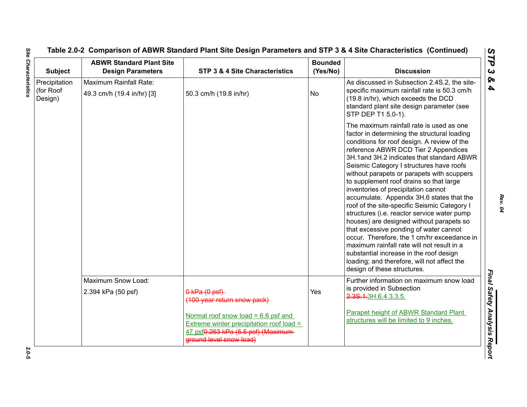| <b>Subject</b>                        | <b>ABWR Standard Plant Site</b><br><b>Design Parameters</b> | STP 3 & 4 Site Characteristics                                                                                                                     | <b>Bounded</b><br>(Yes/No) | <b>Discussion</b>                                                                                                                                                                                                                                                                                                                                                                                                                                                                                                                                                                                                                                                                                                                                                                                                                                                |
|---------------------------------------|-------------------------------------------------------------|----------------------------------------------------------------------------------------------------------------------------------------------------|----------------------------|------------------------------------------------------------------------------------------------------------------------------------------------------------------------------------------------------------------------------------------------------------------------------------------------------------------------------------------------------------------------------------------------------------------------------------------------------------------------------------------------------------------------------------------------------------------------------------------------------------------------------------------------------------------------------------------------------------------------------------------------------------------------------------------------------------------------------------------------------------------|
| Precipitation<br>(for Roof<br>Design) | Maximum Rainfall Rate:<br>49.3 cm/h (19.4 in/hr) [3]        | 50.3 cm/h (19.8 in/hr)                                                                                                                             | <b>No</b>                  | As discussed in Subsection 2.4S.2, the site-<br>specific maximum rainfall rate is 50.3 cm/h<br>(19.8 in/hr), which exceeds the DCD<br>standard plant site design parameter (see<br>STP DEP T1 5.0-1).                                                                                                                                                                                                                                                                                                                                                                                                                                                                                                                                                                                                                                                            |
|                                       |                                                             |                                                                                                                                                    |                            | The maximum rainfall rate is used as one<br>factor in determining the structural loading<br>conditions for roof design. A review of the<br>reference ABWR DCD Tier 2 Appendices<br>3H.1and 3H.2 indicates that standard ABWR<br>Seismic Category I structures have roofs<br>without parapets or parapets with scuppers<br>to supplement roof drains so that large<br>inventories of precipitation cannot<br>accumulate. Appendix 3H.6 states that the<br>roof of the site-specific Seismic Category I<br>structures (i.e. reactor service water pump<br>houses) are designed without parapets so<br>that excessive ponding of water cannot<br>occur. Therefore, the 1 cm/hr exceedance in<br>maximum rainfall rate will not result in a<br>substantial increase in the roof design<br>loading; and therefore, will not affect the<br>design of these structures. |
|                                       | Maximum Snow Load:                                          |                                                                                                                                                    |                            | Further information on maximum snow load                                                                                                                                                                                                                                                                                                                                                                                                                                                                                                                                                                                                                                                                                                                                                                                                                         |
|                                       | 2.394 kPa (50 psf)                                          | $0$ kPa $(0$ psf)<br>(100-year return snow pack)                                                                                                   | Yes                        | is provided in Subsection<br>2.3S.1.3H.6.4.3.3.5.                                                                                                                                                                                                                                                                                                                                                                                                                                                                                                                                                                                                                                                                                                                                                                                                                |
|                                       |                                                             | Normal roof snow load = $6.6$ psf and<br>Extreme winter precipitation roof load =<br>47 psf0.263 kPa (5.5 psf) (Maximum<br>ground level snow load) |                            | Parapet height of ABWR Standard Plant<br>structures will be limited to 9 inches.                                                                                                                                                                                                                                                                                                                                                                                                                                                                                                                                                                                                                                                                                                                                                                                 |

**Site Characteristics** *Site Characteristics 2.0-5*

*Rev. 04*

 $2.0 - 5$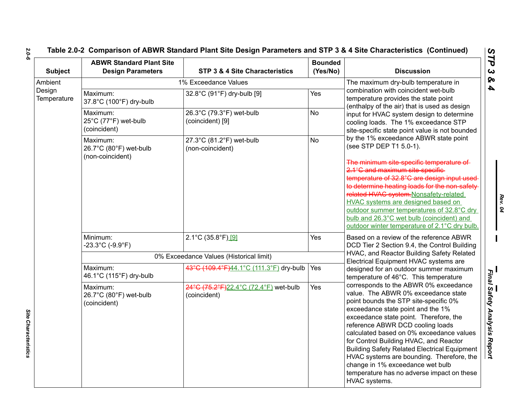# **Table 2.0-2 Comparison of ABWR Standard Plant Site Design Parameters and STP 3 & 4 Site Characteristics (Continued)**

| <b>Subject</b>        | <b>ABWR Standard Plant Site</b><br><b>Design Parameters</b> | STP 3 & 4 Site Characteristics                        | <b>Bounded</b><br>(Yes/No)                                                                                                   | <b>Discussion</b>                                                                                                                                                                                                                                                                                                                                                                                                                                                                                                                                                                                                                                                                                            |
|-----------------------|-------------------------------------------------------------|-------------------------------------------------------|------------------------------------------------------------------------------------------------------------------------------|--------------------------------------------------------------------------------------------------------------------------------------------------------------------------------------------------------------------------------------------------------------------------------------------------------------------------------------------------------------------------------------------------------------------------------------------------------------------------------------------------------------------------------------------------------------------------------------------------------------------------------------------------------------------------------------------------------------|
| Ambient               |                                                             | 1% Exceedance Values                                  |                                                                                                                              | The maximum dry-bulb temperature in                                                                                                                                                                                                                                                                                                                                                                                                                                                                                                                                                                                                                                                                          |
| Design<br>Temperature | Maximum:<br>37.8°C (100°F) dry-bulb                         | Yes<br>32.8°C (91°F) dry-bulb [9]                     | combination with coincident wet-bulb<br>temperature provides the state point<br>(enthalpy of the air) that is used as design |                                                                                                                                                                                                                                                                                                                                                                                                                                                                                                                                                                                                                                                                                                              |
|                       | Maximum:<br>25°C (77°F) wet-bulb<br>(coincident)            | 26.3°C (79.3°F) wet-bulb<br>(coincident) [9]          | <b>No</b>                                                                                                                    | input for HVAC system design to determine<br>cooling loads. The 1% exceedance STP<br>site-specific state point value is not bounded<br>by the 1% exceedance ABWR state point<br>(see STP DEP T1 5.0-1).<br>The minimum site-specific temperature of<br>2.1°C and maximum site-specific-<br>temperature of 32.8°C are design input used<br>to determine heating loads for the non-safety<br>related HVAC system.Nonsafety-related<br>HVAC systems are designed based on<br>outdoor summer temperatures of 32.8°C dry<br>bulb and 26.3°C wet bulb (coincident) and<br>outdoor winter temperature of 2.1°C dry bulb.<br>Based on a review of the reference ABWR<br>DCD Tier 2 Section 9.4, the Control Building |
|                       | Maximum:<br>26.7°C (80°F) wet-bulb                          | 27.3°C (81.2°F) wet-bulb<br>(non-coincident)          | No                                                                                                                           |                                                                                                                                                                                                                                                                                                                                                                                                                                                                                                                                                                                                                                                                                                              |
|                       | (non-coincident)                                            |                                                       |                                                                                                                              |                                                                                                                                                                                                                                                                                                                                                                                                                                                                                                                                                                                                                                                                                                              |
|                       | Minimum:<br>$-23.3^{\circ}$ C (-9.9 $^{\circ}$ F)           | $2.1^{\circ}$ C (35.8 $^{\circ}$ F) [9]               | Yes                                                                                                                          |                                                                                                                                                                                                                                                                                                                                                                                                                                                                                                                                                                                                                                                                                                              |
|                       |                                                             | 0% Exceedance Values (Historical limit)               |                                                                                                                              | HVAC, and Reactor Building Safety Related<br>Electrical Equipment HVAC systems are                                                                                                                                                                                                                                                                                                                                                                                                                                                                                                                                                                                                                           |
|                       | Maximum:<br>46.1°C (115°F) dry-bulb                         | 43°C (109.4°F)44.1°C (111.3°F) dry-bulb               | Yes                                                                                                                          | designed for an outdoor summer maximum<br>temperature of 46°C. This temperature                                                                                                                                                                                                                                                                                                                                                                                                                                                                                                                                                                                                                              |
|                       | Maximum:<br>26.7°C (80°F) wet-bulb<br>(coincident)          | 24°C (75.2°F)22.4°C (72.4°F) wet-bulb<br>(coincident) | Yes                                                                                                                          | corresponds to the ABWR 0% exceedance<br>value. The ABWR 0% exceedance state<br>point bounds the STP site-specific 0%<br>exceedance state point and the 1%<br>exceedance state point. Therefore, the<br>reference ABWR DCD cooling loads<br>calculated based on 0% exceedance values<br>for Control Building HVAC, and Reactor<br><b>Building Safety Related Electrical Equipment</b><br>HVAC systems are bounding. Therefore, the<br>change in 1% exceedance wet bulb<br>temperature has no adverse impact on these<br>HVAC systems.                                                                                                                                                                        |

*2.0-6*

*Site Characteristics* 

Site Characteristics

*Rev. 04*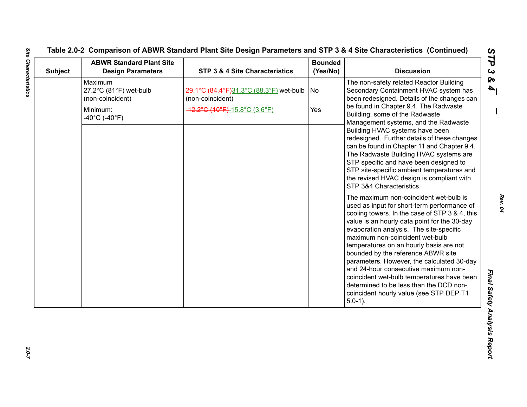| <b>Subject</b> | <b>ABWR Standard Plant Site</b><br><b>Design Parameters</b> | STP 3 & 4 Site Characteristics                                | <b>Bounded</b><br>(Yes/No) | <b>Discussion</b>                                                                                                                                                                                                                                                                                                                                                                                                                                                                                                                                                                                                                                                                                                                                                                                                                                                                                                                                                                                                                                              |
|----------------|-------------------------------------------------------------|---------------------------------------------------------------|----------------------------|----------------------------------------------------------------------------------------------------------------------------------------------------------------------------------------------------------------------------------------------------------------------------------------------------------------------------------------------------------------------------------------------------------------------------------------------------------------------------------------------------------------------------------------------------------------------------------------------------------------------------------------------------------------------------------------------------------------------------------------------------------------------------------------------------------------------------------------------------------------------------------------------------------------------------------------------------------------------------------------------------------------------------------------------------------------|
|                | Maximum<br>27.2°C (81°F) wet-bulb<br>(non-coincident)       | 29.1°C (84.4°F)31.3°C (88.3°F) wet-bulb  <br>(non-coincident) | No                         | The non-safety related Reactor Building<br>Secondary Containment HVAC system has<br>been redesigned. Details of the changes can                                                                                                                                                                                                                                                                                                                                                                                                                                                                                                                                                                                                                                                                                                                                                                                                                                                                                                                                |
|                | Minimum:<br>$-40^{\circ}$ C (-40 $^{\circ}$ F)              | 12.2°C (10°F)-15.8°C (3.6°F)                                  | Yes                        | be found in Chapter 9.4. The Radwaste<br>Building, some of the Radwaste<br>Management systems, and the Radwaste<br>Building HVAC systems have been<br>redesigned. Further details of these changes<br>can be found in Chapter 11 and Chapter 9.4.<br>The Radwaste Building HVAC systems are<br>STP specific and have been designed to<br>STP site-specific ambient temperatures and<br>the revised HVAC design is compliant with<br>STP 3&4 Characteristics.<br>The maximum non-coincident wet-bulb is<br>used as input for short-term performance of<br>cooling towers. In the case of STP 3 & 4, this<br>value is an hourly data point for the 30-day<br>evaporation analysis. The site-specific<br>maximum non-coincident wet-bulb<br>temperatures on an hourly basis are not<br>bounded by the reference ABWR site<br>parameters. However, the calculated 30-day<br>and 24-hour consecutive maximum non-<br>coincident wet-bulb temperatures have been<br>determined to be less than the DCD non-<br>coincident hourly value (see STP DEP T1<br>$5.0-1$ ). |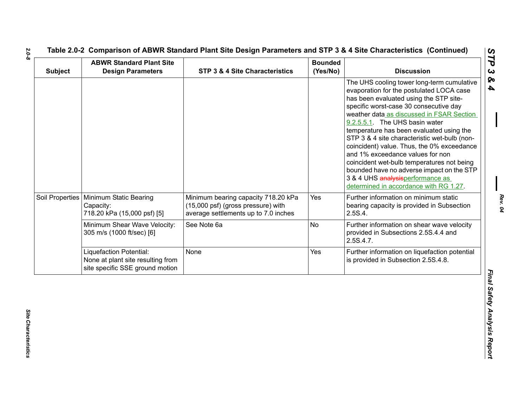| <b>Subject</b>  | <b>ABWR Standard Plant Site</b><br><b>Design Parameters</b>                                     | STP 3 & 4 Site Characteristics                                                                                    | <b>Bounded</b><br>(Yes/No) | <b>Discussion</b>                                                                                                                                                                                                                                                                                                                                                                                                                                                                                                                                                                                                |
|-----------------|-------------------------------------------------------------------------------------------------|-------------------------------------------------------------------------------------------------------------------|----------------------------|------------------------------------------------------------------------------------------------------------------------------------------------------------------------------------------------------------------------------------------------------------------------------------------------------------------------------------------------------------------------------------------------------------------------------------------------------------------------------------------------------------------------------------------------------------------------------------------------------------------|
|                 |                                                                                                 |                                                                                                                   |                            | The UHS cooling tower long-term cumulative<br>evaporation for the postulated LOCA case<br>has been evaluated using the STP site-<br>specific worst-case 30 consecutive day<br>weather data as discussed in FSAR Section<br>9.2.5.5.1. The UHS basin water<br>temperature has been evaluated using the<br>STP 3 & 4 site characteristic wet-bulb (non-<br>coincident) value. Thus, the 0% exceedance<br>and 1% exceedance values for non<br>coincident wet-bulb temperatures not being<br>bounded have no adverse impact on the STP<br>3 & 4 UHS analysisperformance as<br>determined in accordance with RG 1.27. |
| Soil Properties | Minimum Static Bearing<br>Capacity:<br>718.20 kPa (15,000 psf) [5]                              | Minimum bearing capacity 718.20 kPa<br>(15,000 psf) (gross pressure) with<br>average settlements up to 7.0 inches | Yes                        | Further information on minimum static<br>bearing capacity is provided in Subsection<br>2.5S.4.                                                                                                                                                                                                                                                                                                                                                                                                                                                                                                                   |
|                 | Minimum Shear Wave Velocity:<br>305 m/s (1000 ft/sec) [6]                                       | See Note 6a                                                                                                       | No                         | Further information on shear wave velocity<br>provided in Subsections 2.5S.4.4 and<br>2.5S.4.7.                                                                                                                                                                                                                                                                                                                                                                                                                                                                                                                  |
|                 | Liquefaction Potential:<br>None at plant site resulting from<br>site specific SSE ground motion | None                                                                                                              | Yes                        | Further information on liquefaction potential<br>is provided in Subsection 2.5S.4.8.                                                                                                                                                                                                                                                                                                                                                                                                                                                                                                                             |

*2.0-8*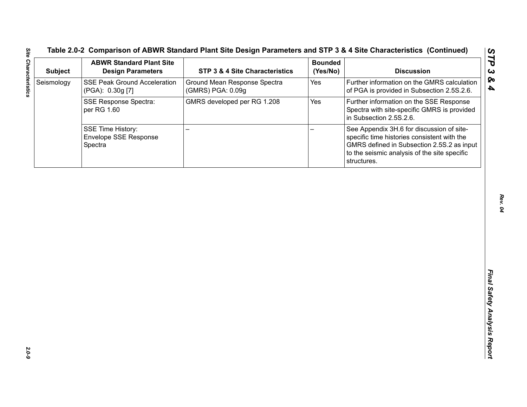| <b>Subject</b> | <b>ABWR Standard Plant Site</b><br><b>Design Parameters</b>  | STP 3 & 4 Site Characteristics                    | <b>Bounded</b><br>(Yes/No) | <b>Discussion</b>                                                                                                                                                                                     |
|----------------|--------------------------------------------------------------|---------------------------------------------------|----------------------------|-------------------------------------------------------------------------------------------------------------------------------------------------------------------------------------------------------|
| Seismology     | <b>SSE Peak Ground Acceleration</b><br>(PGA): 0.30g [7]      | Ground Mean Response Spectra<br>(GMRS) PGA: 0.09g | Yes                        | Further information on the GMRS calculation<br>of PGA is provided in Subsection 2.5S.2.6.                                                                                                             |
|                | <b>SSE Response Spectra:</b><br>per RG 1.60                  | GMRS developed per RG 1.208                       | Yes                        | Further information on the SSE Response<br>Spectra with site-specific GMRS is provided<br>in Subsection 2.5S.2.6.                                                                                     |
|                | <b>SSE Time History:</b><br>Envelope SSE Response<br>Spectra |                                                   |                            | See Appendix 3H.6 for discussion of site-<br>specific time histories consistent with the<br>GMRS defined in Subsection 2.5S.2 as input<br>to the seismic analysis of the site specific<br>structures. |
|                |                                                              |                                                   |                            |                                                                                                                                                                                                       |
|                |                                                              |                                                   |                            |                                                                                                                                                                                                       |
|                |                                                              |                                                   |                            |                                                                                                                                                                                                       |
|                |                                                              |                                                   |                            |                                                                                                                                                                                                       |
|                |                                                              |                                                   |                            |                                                                                                                                                                                                       |
|                |                                                              |                                                   |                            |                                                                                                                                                                                                       |
|                |                                                              |                                                   |                            |                                                                                                                                                                                                       |
|                |                                                              |                                                   |                            |                                                                                                                                                                                                       |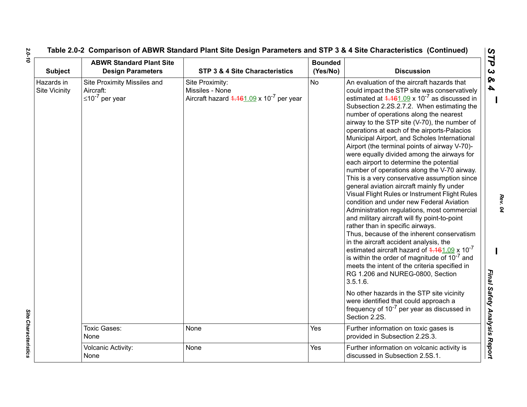| <b>Subject</b>                     | <b>ABWR Standard Plant Site</b><br><b>Design Parameters</b>         | STP 3 & 4 Site Characteristics                                                           | <b>Bounded</b><br>(Yes/No) | <b>Discussion</b>                                                                                                                                                                                                                                                                                                                                                                                                                                                                                                                                                                                                                                                                                                                                                                                                                                                                                                                                                                                                                                                                                                                                                                                                                                                                                                                                                                         |
|------------------------------------|---------------------------------------------------------------------|------------------------------------------------------------------------------------------|----------------------------|-------------------------------------------------------------------------------------------------------------------------------------------------------------------------------------------------------------------------------------------------------------------------------------------------------------------------------------------------------------------------------------------------------------------------------------------------------------------------------------------------------------------------------------------------------------------------------------------------------------------------------------------------------------------------------------------------------------------------------------------------------------------------------------------------------------------------------------------------------------------------------------------------------------------------------------------------------------------------------------------------------------------------------------------------------------------------------------------------------------------------------------------------------------------------------------------------------------------------------------------------------------------------------------------------------------------------------------------------------------------------------------------|
| Hazards in<br><b>Site Vicinity</b> | Site Proximity Missiles and<br>Aircraft:<br>$\leq 10^{-7}$ per year | Site Proximity:<br>Missiles - None<br>Aircraft hazard $4.461.09 \times 10^{-7}$ per year | <b>No</b>                  | An evaluation of the aircraft hazards that<br>could impact the STP site was conservatively<br>estimated at $4.161.09 \times 10^{-7}$ as discussed in<br>Subsection 2.2S.2.7.2. When estimating the<br>number of operations along the nearest<br>airway to the STP site (V-70), the number of<br>operations at each of the airports-Palacios<br>Municipal Airport, and Scholes International<br>Airport (the terminal points of airway V-70)-<br>were equally divided among the airways for<br>each airport to determine the potential<br>number of operations along the V-70 airway.<br>This is a very conservative assumption since<br>general aviation aircraft mainly fly under<br>Visual Flight Rules or Instrument Flight Rules<br>condition and under new Federal Aviation<br>Administration regulations, most commercial<br>and military aircraft will fly point-to-point<br>rather than in specific airways.<br>Thus, because of the inherent conservatism<br>in the aircraft accident analysis, the<br>estimated aircraft hazard of $4.161.09 \times 10^{-7}$<br>is within the order of magnitude of $10^{-7}$ and<br>meets the intent of the criteria specified in<br>RG 1.206 and NUREG-0800, Section<br>$3.5.1.6$ .<br>No other hazards in the STP site vicinity<br>were identified that could approach a<br>frequency of $10^{-7}$ per year as discussed in<br>Section 2.2S. |
|                                    | <b>Toxic Gases:</b><br>None                                         | None                                                                                     | Yes                        | Further information on toxic gases is<br>provided in Subsection 2.2S.3.                                                                                                                                                                                                                                                                                                                                                                                                                                                                                                                                                                                                                                                                                                                                                                                                                                                                                                                                                                                                                                                                                                                                                                                                                                                                                                                   |
|                                    | Volcanic Activity:<br>None                                          | None                                                                                     | Yes                        | Further information on volcanic activity is<br>discussed in Subsection 2.5S.1.                                                                                                                                                                                                                                                                                                                                                                                                                                                                                                                                                                                                                                                                                                                                                                                                                                                                                                                                                                                                                                                                                                                                                                                                                                                                                                            |

*2.0-10*

*Rev. 04*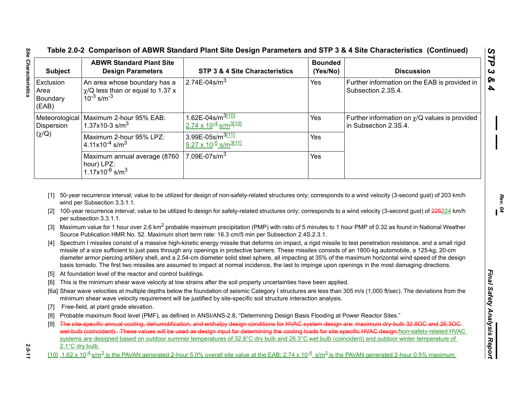| <b>Subject</b>                         | <b>ABWR Standard Plant Site</b><br><b>Design Parameters</b>                                           | STP 3 & 4 Site Characteristics                                                                                                                                                                                                                                                                                  | <b>Bounded</b><br>(Yes/No) | <b>Discussion</b>                                                                                                                                                                                                                                                                                                                   |
|----------------------------------------|-------------------------------------------------------------------------------------------------------|-----------------------------------------------------------------------------------------------------------------------------------------------------------------------------------------------------------------------------------------------------------------------------------------------------------------|----------------------------|-------------------------------------------------------------------------------------------------------------------------------------------------------------------------------------------------------------------------------------------------------------------------------------------------------------------------------------|
| Exclusion<br>Area<br>Boundary<br>(EAB) | An area whose boundary has a<br>$\chi$ /Q less than or equal to 1.37 x<br>$10^{-3}$ s/m <sup>-3</sup> | 2.74E-04s/m <sup>3</sup>                                                                                                                                                                                                                                                                                        | Yes                        | Further information on the EAB is provided in<br>Subsection 2.3S.4.                                                                                                                                                                                                                                                                 |
| Dispersion                             | Meteorological   Maximum 2-hour 95% EAB:<br>1.37x10-3 s/m <sup>3</sup>                                | 1.62E-04s/m <sup>3[10]</sup><br><u>2.74 x 10<sup>-4</sup> s/m<sup>3[10]</sup></u>                                                                                                                                                                                                                               | Yes                        | Further information on $\chi$ /Q values is provided<br>in Subsection 2.3S.4.                                                                                                                                                                                                                                                        |
| $(\chi/Q)$                             | Maximum 2-hour 95% LPZ:<br>4.11x10 <sup>-4</sup> s/m <sup>3</sup>                                     | 3.99E-05s/m <sup>3[11]</sup><br>5.27 x 10 <sup>-5</sup> s/m <sup>3[11]</sup>                                                                                                                                                                                                                                    | Yes                        |                                                                                                                                                                                                                                                                                                                                     |
|                                        | Maximum annual average (8760<br>hour) LPZ:<br>$1.17x10^{-6}$ s/m <sup>3</sup>                         | 7.09E-07s/m <sup>3</sup>                                                                                                                                                                                                                                                                                        | Yes                        |                                                                                                                                                                                                                                                                                                                                     |
| [3]<br>[4]                             |                                                                                                       | Source Publication HMR No. 52. Maximum short term rate: 16.3 cm/5 min per Subsection 2.4S.2.3.1.                                                                                                                                                                                                                |                            | Maximum value for 1 hour over 2.6 km <sup>2</sup> probable maximum precipitation (PMP) with ratio of 5 minutes to 1 hour PMP of 0.32 as found in National Weather<br>Spectrum I missiles consist of a massive high-kinetic energy missile that deforms on impact, a rigid missile to test penetration resistance, and a small rigid |
| <u>121.</u>                            | per subsection 3.3.1.1.                                                                               |                                                                                                                                                                                                                                                                                                                 |                            | 100-year recurrence interval; value to be utilized fo design for safety-related structures only; corresponds to a wind velocity (3-second gust) of 225224 km/h                                                                                                                                                                      |
|                                        |                                                                                                       | missile of a size sufficient to just pass through any openings in protective barriers. These missiles consists of an 1800-kg automobile, a 125-kg, 20-cm<br>basis tornado. The first two missiles are assumed to impact at normal incidence, the last to impinge upon openings in the most damaging directions. |                            | diameter armor piercing artillery shell, and a 2.54-cm diameter solid steel sphere, all impacting at 35% of the maximum horizontal wind speed of the design                                                                                                                                                                         |
|                                        | [5] At foundation level of the reactor and control buildings.                                         | [6] This is the minimum shear wave velocity at low strains after the soil property uncertainties have been applied.                                                                                                                                                                                             |                            |                                                                                                                                                                                                                                                                                                                                     |
|                                        |                                                                                                       | minimum shear wave velocity requirement will be justified by site-specific soil structure interaction analysis.                                                                                                                                                                                                 |                            | [6a] Shear wave velocities at multiple depths below the foundation of seismic Category I structures are less than 305 m/s (1,000 ft/sec). The deviations from the                                                                                                                                                                   |
| $\lceil 7 \rceil$                      | Free-field, at plant grade elevation.                                                                 |                                                                                                                                                                                                                                                                                                                 |                            |                                                                                                                                                                                                                                                                                                                                     |
| [8]                                    |                                                                                                       | Probable maximum flood level (PMF), as defined in ANSI/ANS-2.8, "Determining Design Basis Flooding at Power Reactor Sites."                                                                                                                                                                                     |                            |                                                                                                                                                                                                                                                                                                                                     |
| [9]                                    |                                                                                                       | systems are designed based on outdoor summer temperatures of 32.8°C dry bulb and 26.3°C wet bulb (coincident) and outdoor winter temperature of                                                                                                                                                                 |                            | The site specific annual cooling, dehumidification, and enthalpy design conditions for HVAC system design are: maximum dry bulb 32.80C and 26.30C-<br>wet bulb (coincident). These values will be used as design input for determining the cooling loads for site specific HVAC design. Non-safety-related HVAC                     |
| 2.1°C dry bulb.                        |                                                                                                       |                                                                                                                                                                                                                                                                                                                 |                            | [10] $1.62 \times 10^{-4}$ s/m <sup>3</sup> is the PAVAN generated 2-hour 5.0% overall site value at the EAB; 2.74 x 10 <sup>-4</sup> s/m <sup>3</sup> is the PAVAN generated 2-hour 0.5% maximum                                                                                                                                   |

- 
- 
- 
- 
- 
- 
- 
- 
- 
- 
- 

*STP 3 & 4*